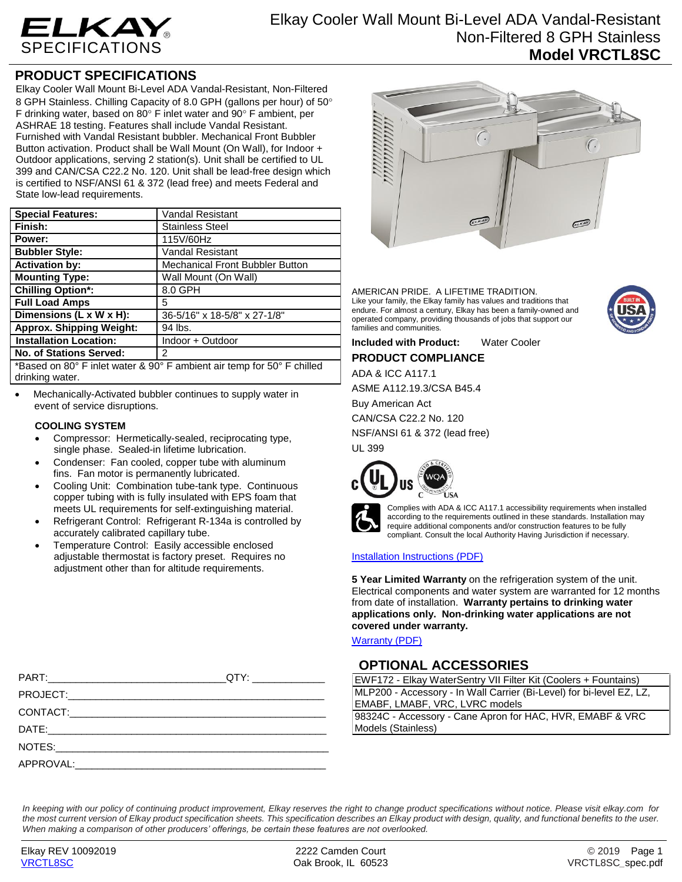

## **PRODUCT SPECIFICATIONS**

Elkay Cooler Wall Mount Bi-Level ADA Vandal-Resistant, Non-Filtered 8 GPH Stainless. Chilling Capacity of 8.0 GPH (gallons per hour) of 50° F drinking water, based on 80 $\degree$  F inlet water and 90 $\degree$  F ambient, per ASHRAE 18 testing. Features shall include Vandal Resistant. Furnished with Vandal Resistant bubbler. Mechanical Front Bubbler Button activation. Product shall be Wall Mount (On Wall), for Indoor + Outdoor applications, serving 2 station(s). Unit shall be certified to UL 399 and CAN/CSA C22.2 No. 120. Unit shall be lead-free design which is certified to NSF/ANSI 61 & 372 (lead free) and meets Federal and State low-lead requirements.

| <b>Special Features:</b>                                               | <b>Vandal Resistant</b>                |  |  |
|------------------------------------------------------------------------|----------------------------------------|--|--|
| Finish:                                                                | <b>Stainless Steel</b>                 |  |  |
| Power:                                                                 | 115V/60Hz                              |  |  |
| <b>Bubbler Style:</b>                                                  | <b>Vandal Resistant</b>                |  |  |
| <b>Activation by:</b>                                                  | <b>Mechanical Front Bubbler Button</b> |  |  |
| <b>Mounting Type:</b>                                                  | Wall Mount (On Wall)                   |  |  |
| <b>Chilling Option*:</b>                                               | 8.0 GPH                                |  |  |
| <b>Full Load Amps</b>                                                  | 5                                      |  |  |
| Dimensions (L x W x H):                                                | 36-5/16" x 18-5/8" x 27-1/8"           |  |  |
| <b>Approx. Shipping Weight:</b>                                        | 94 lbs.                                |  |  |
| <b>Installation Location:</b>                                          | Indoor + Outdoor                       |  |  |
| <b>No. of Stations Served:</b>                                         | 2                                      |  |  |
| *Based on 80° F inlet water & 90° F ambient air temp for 50° F chilled |                                        |  |  |

drinking water.

 Mechanically-Activated bubbler continues to supply water in event of service disruptions.

### **COOLING SYSTEM**

- Compressor: Hermetically-sealed, reciprocating type, single phase. Sealed-in lifetime lubrication.
- Condenser: Fan cooled, copper tube with aluminum fins. Fan motor is permanently lubricated.
- Cooling Unit: Combination tube-tank type. Continuous copper tubing with is fully insulated with EPS foam that meets UL requirements for self-extinguishing material.
- Refrigerant Control: Refrigerant R-134a is controlled by accurately calibrated capillary tube.
- Temperature Control: Easily accessible enclosed adjustable thermostat is factory preset. Requires no adjustment other than for altitude requirements.

|  | ELKAY | ELKA |
|--|-------|------|

AMERICAN PRIDE. A LIFETIME TRADITION. Like your family, the Elkay family has values and traditions that endure. For almost a century, Elkay has been a family-owned and operated company, providing thousands of jobs that support our families and communities.



**Included with Product:** Water Cooler

**PRODUCT COMPLIANCE**

ADA & ICC A117.1

ASME A112.19.3/CSA B45.4

Buy American Act

CAN/CSA C22.2 No. 120

NSF/ANSI 61 & 372 (lead free)

UL 399





Complies with ADA & ICC A117.1 accessibility requirements when installed according to the requirements outlined in these standards. Installation may require additional components and/or construction features to be fully compliant. Consult the local Authority Having Jurisdiction if necessary.

### [Installation Instructions \(PDF\)](http://www.elkay.com/wcsstore/lkdocs/care-cleaning-install-warranty-sheets/98958c.pdf)

**5 Year Limited Warranty** on the refrigeration system of the unit. Electrical components and water system are warranted for 12 months from date of installation. **Warranty pertains to drinking water applications only. Non-drinking water applications are not covered under warranty.**

[Warranty](http://www.elkay.com/wcsstore/lkdocs/care-cleaning-install-warranty-sheets/96993c.pdf) (PDF)

## **OPTIONAL ACCESSORIES**

| EWF172 - Elkay WaterSentry VII Filter Kit (Coolers + Fountains)      |  |  |
|----------------------------------------------------------------------|--|--|
| MLP200 - Accessory - In Wall Carrier (Bi-Level) for bi-level EZ, LZ, |  |  |
| EMABF, LMABF, VRC, LVRC models                                       |  |  |
| 98324C - Accessory - Cane Apron for HAC, HVR, EMABF & VRC            |  |  |
| Models (Stainless)                                                   |  |  |

PART:\_\_\_\_\_\_\_\_\_\_\_\_\_\_\_\_\_\_\_\_\_\_\_\_\_\_\_\_\_\_\_\_QTY: \_\_\_\_\_\_\_\_\_\_\_\_\_ PROJECT:\_\_\_\_\_\_\_\_\_\_\_\_\_\_\_\_\_\_\_\_\_\_\_\_\_\_\_\_\_\_\_\_\_\_\_\_\_\_\_\_\_\_\_\_\_\_ CONTACT:\_\_\_\_\_\_\_\_\_\_\_\_\_\_\_\_\_\_\_\_\_\_\_\_\_\_\_\_\_\_\_\_\_\_\_\_\_\_\_\_\_\_\_\_\_\_ DATE:\_\_\_\_\_\_\_\_\_\_\_\_\_\_\_\_\_\_\_\_\_\_\_\_\_\_\_\_\_\_\_\_\_\_\_\_\_\_\_\_\_\_\_\_\_\_\_\_\_\_ NOTES: APPROVAL:

*In keeping with our policy of continuing product improvement, Elkay reserves the right to change product specifications without notice. Please visit elkay.com for the most current version of Elkay product specification sheets. This specification describes an Elkay product with design, quality, and functional benefits to the user. When making a comparison of other producers' offerings, be certain these features are not overlooked.*